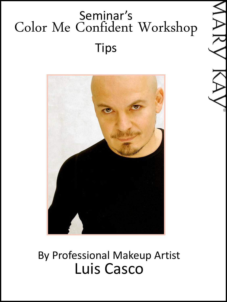# Seminar's Color Me Confident Workshop Tips



#### By Professional Makeup Artist Luis Casco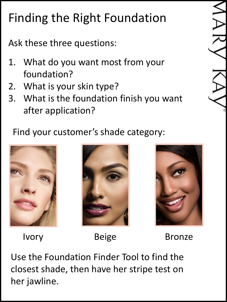# Finding the Right Foundation

Ask these three questions:

- 1. What do you want most from your foundation?
- 2. What is your skin type?
- 3. What is the foundation finish you want after application?

#### Find your customer's shade category:







Ivory Beige Bronze

Use the Foundation Finder Tool to find the closest shade, then have her stripe test on her jawline.

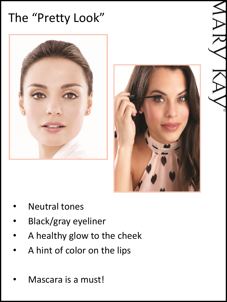# The "Pretty Look"





- **Neutral tones**
- Black/gray eyeliner
- A healthy glow to the cheek
- A hint of color on the lips
- Mascara is a must!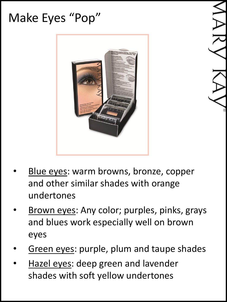## Make Eyes "Pop"



- Blue eyes: warm browns, bronze, copper and other similar shades with orange undertones
- Brown eyes: Any color; purples, pinks, grays and blues work especially well on brown eyes
- Green eyes: purple, plum and taupe shades
- Hazel eyes: deep green and lavender shades with soft yellow undertones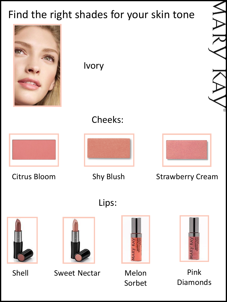### Find the right shades for your skin tone

Ivory Citrus Bloom Shy Blush Strawberry Cream Cheeks: Lips:

Sorbet

Pink

Diamonds

Shell Sweet Nectar Melon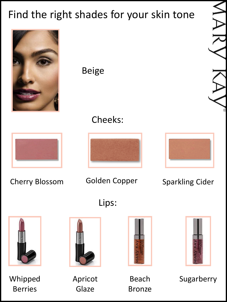### Find the right shades for your skin tone



Whipped Berries



Apricot **Glaze** 





Sugarberry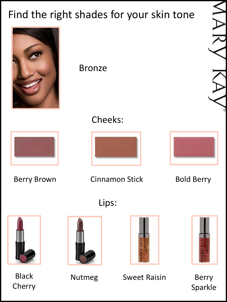### Find the right shades for your skin tone



Black Cherry

Nutmeg Sweet Raisin Berry

Sparkle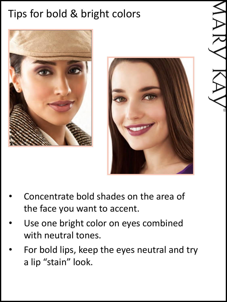### Tips for bold & bright colors





- Concentrate bold shades on the area of the face you want to accent.
- Use one bright color on eyes combined with neutral tones.
- For bold lips, keep the eyes neutral and try a lip "stain" look.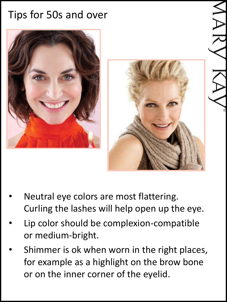#### Tips for 50s and over





- Neutral eye colors are most flattering. Curling the lashes will help open up the eye.
- Lip color should be complexion-compatible or medium-bright.
- Shimmer is ok when worn in the right places, for example as a highlight on the brow bone or on the inner corner of the eyelid.